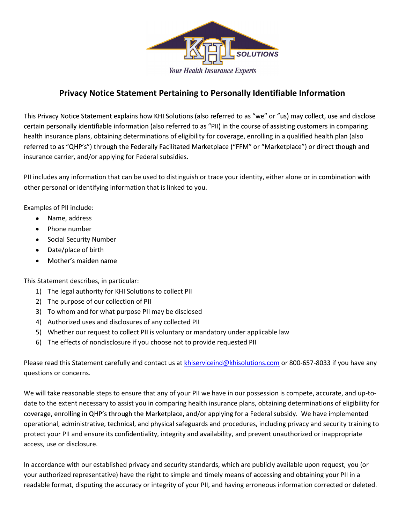

# Privacy Notice Statement Pertaining to Personally Identifiable Information

This Privacy Notice Statement explains how KHI Solutions (also referred to as "we" or "us) may collect, use and disclose certain personally identifiable information (also referred to as "PII) in the course of assisting customers in comparing health insurance plans, obtaining determinations of eligibility for coverage, enrolling in a qualified health plan (also referred to as "QHP's") through the Federally Facilitated Marketplace ("FFM" or "Marketplace") or direct though and insurance carrier, and/or applying for Federal subsidies.

PII includes any information that can be used to distinguish or trace your identity, either alone or in combination with other personal or identifying information that is linked to you.

Examples of PII include:

- Name, address  $\bullet$
- Phone number
- Social Security Number  $\bullet$
- Date/place of birth
- Mother's maiden name

This Statement describes, in particular:

- 1) The legal authority for KHI Solutions to collect PII
- 2) The purpose of our collection of PII
- 3) To whom and for what purpose PII may be disclosed
- 4) Authorized uses and disclosures of any collected PII
- 5) Whether our request to collect PII is voluntary or mandatory under applicable law
- 6) The effects of nondisclosure if you choose not to provide requested PII

Please read this Statement carefully and contact us at khiserviceind@khisolutions.com or 800-657-8033 if you have any questions or concerns.

We will take reasonable steps to ensure that any of your PII we have in our possession is compete, accurate, and up-todate to the extent necessary to assist you in comparing health insurance plans, obtaining determinations of eligibility for coverage, enrolling in QHP's through the Marketplace, and/or applying for a Federal subsidy. We have implemented operational, administrative, technical, and physical safeguards and procedures, including privacy and security training to protect your PII and ensure its confidentiality, integrity and availability, and prevent unauthorized or inappropriate access, use or disclosure.

In accordance with our established privacy and security standards, which are publicly available upon request, you (or your authorized representative) have the right to simple and timely means of accessing and obtaining your PII in a readable format, disputing the accuracy or integrity of your PII, and having erroneous information corrected or deleted.